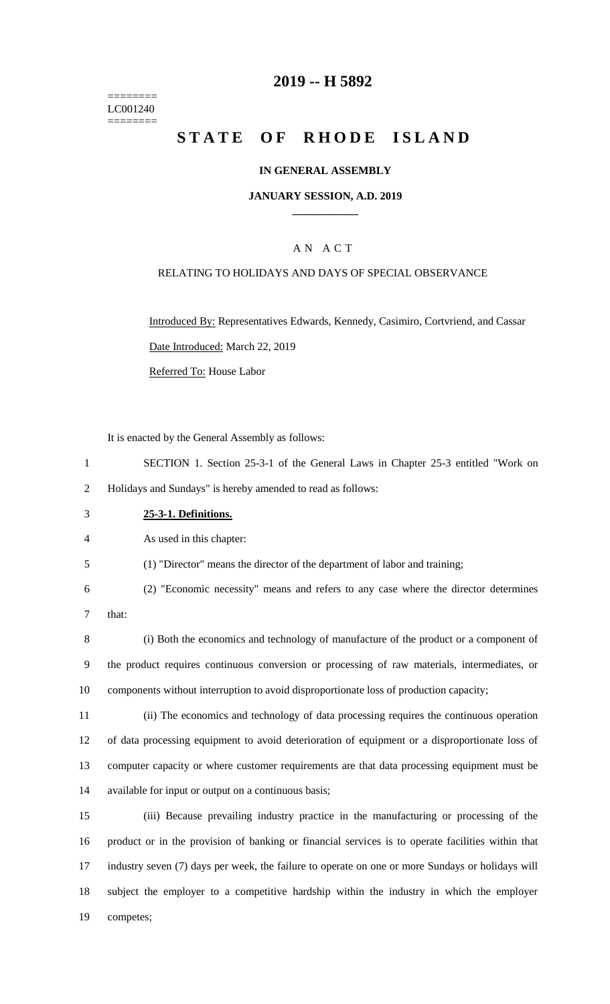======== LC001240 ========

## **-- H 5892**

# **STATE OF RHODE ISLAND**

### **IN GENERAL ASSEMBLY**

#### **JANUARY SESSION, A.D. 2019 \_\_\_\_\_\_\_\_\_\_\_\_**

### A N A C T

#### RELATING TO HOLIDAYS AND DAYS OF SPECIAL OBSERVANCE

Introduced By: Representatives Edwards, Kennedy, Casimiro, Cortvriend, and Cassar Date Introduced: March 22, 2019

Referred To: House Labor

It is enacted by the General Assembly as follows:

- SECTION 1. Section 25-3-1 of the General Laws in Chapter 25-3 entitled "Work on Holidays and Sundays" is hereby amended to read as follows:
- **25-3-1. Definitions.**

As used in this chapter:

(1) "Director" means the director of the department of labor and training;

 (2) "Economic necessity" means and refers to any case where the director determines that:

 (i) Both the economics and technology of manufacture of the product or a component of the product requires continuous conversion or processing of raw materials, intermediates, or components without interruption to avoid disproportionate loss of production capacity;

 (ii) The economics and technology of data processing requires the continuous operation of data processing equipment to avoid deterioration of equipment or a disproportionate loss of computer capacity or where customer requirements are that data processing equipment must be available for input or output on a continuous basis;

 (iii) Because prevailing industry practice in the manufacturing or processing of the product or in the provision of banking or financial services is to operate facilities within that industry seven (7) days per week, the failure to operate on one or more Sundays or holidays will subject the employer to a competitive hardship within the industry in which the employer competes;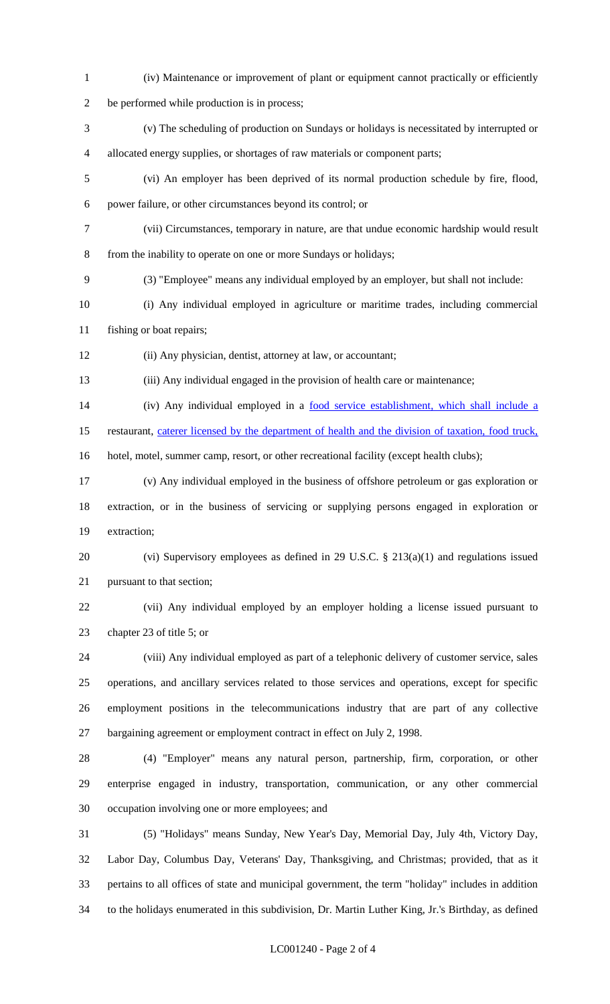(iv) Maintenance or improvement of plant or equipment cannot practically or efficiently be performed while production is in process; (v) The scheduling of production on Sundays or holidays is necessitated by interrupted or allocated energy supplies, or shortages of raw materials or component parts; (vi) An employer has been deprived of its normal production schedule by fire, flood, power failure, or other circumstances beyond its control; or (vii) Circumstances, temporary in nature, are that undue economic hardship would result from the inability to operate on one or more Sundays or holidays; (3) "Employee" means any individual employed by an employer, but shall not include: (i) Any individual employed in agriculture or maritime trades, including commercial fishing or boat repairs; (ii) Any physician, dentist, attorney at law, or accountant; (iii) Any individual engaged in the provision of health care or maintenance; 14 (iv) Any individual employed in a food service establishment, which shall include a 15 restaurant, caterer licensed by the department of health and the division of taxation, food truck, hotel, motel, summer camp, resort, or other recreational facility (except health clubs); (v) Any individual employed in the business of offshore petroleum or gas exploration or extraction, or in the business of servicing or supplying persons engaged in exploration or extraction; (vi) Supervisory employees as defined in 29 U.S.C. § 213(a)(1) and regulations issued pursuant to that section; (vii) Any individual employed by an employer holding a license issued pursuant to chapter 23 of title 5; or (viii) Any individual employed as part of a telephonic delivery of customer service, sales operations, and ancillary services related to those services and operations, except for specific employment positions in the telecommunications industry that are part of any collective bargaining agreement or employment contract in effect on July 2, 1998. (4) "Employer" means any natural person, partnership, firm, corporation, or other enterprise engaged in industry, transportation, communication, or any other commercial occupation involving one or more employees; and (5) "Holidays" means Sunday, New Year's Day, Memorial Day, July 4th, Victory Day, Labor Day, Columbus Day, Veterans' Day, Thanksgiving, and Christmas; provided, that as it pertains to all offices of state and municipal government, the term "holiday" includes in addition to the holidays enumerated in this subdivision, Dr. Martin Luther King, Jr.'s Birthday, as defined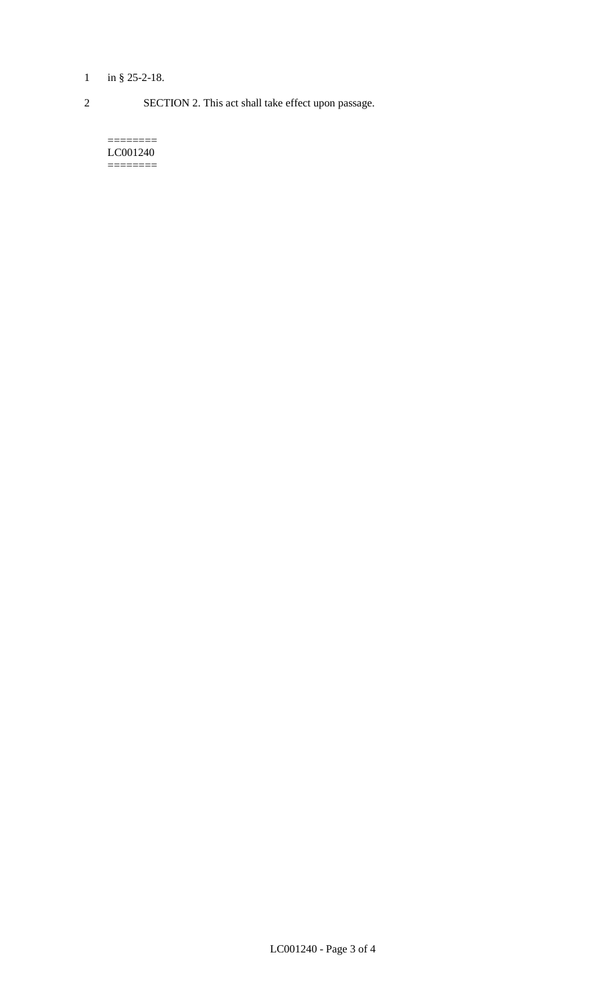# 1 in § 25-2-18.

2 SECTION 2. This act shall take effect upon passage.

======== LC001240  $=$